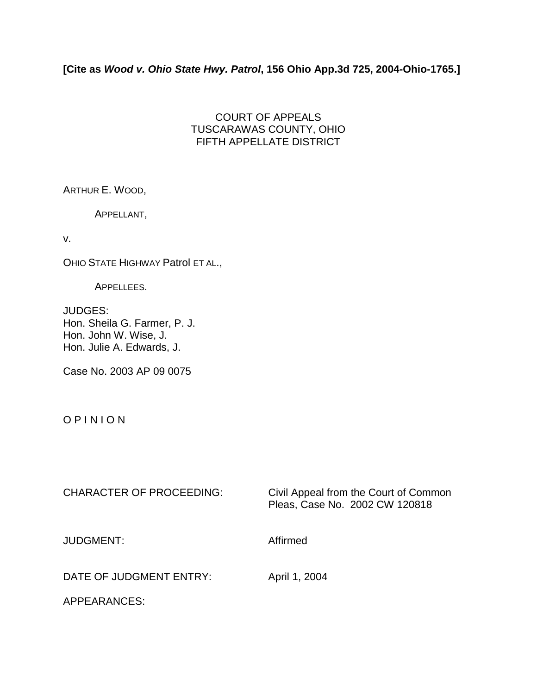## **[Cite as** *Wood v. Ohio State Hwy. Patrol***, 156 Ohio App.3d 725, 2004-Ohio-1765.]**

## COURT OF APPEALS TUSCARAWAS COUNTY, OHIO FIFTH APPELLATE DISTRICT

ARTHUR E. WOOD,

APPELLANT,

v.

OHIO STATE HIGHWAY Patrol ET AL.,

APPELLEES.

JUDGES: Hon. Sheila G. Farmer, P. J. Hon. John W. Wise, J. Hon. Julie A. Edwards, J.

Case No. 2003 AP 09 0075

## O P I N I O N

| <b>CHARACTER OF PROCEEDING:</b> | Civil Appeal from the Court of Common<br>Pleas, Case No. 2002 CW 120818 |
|---------------------------------|-------------------------------------------------------------------------|
| JUDGMENT:                       | Affirmed                                                                |
| DATE OF JUDGMENT ENTRY:         | April 1, 2004                                                           |

APPEARANCES: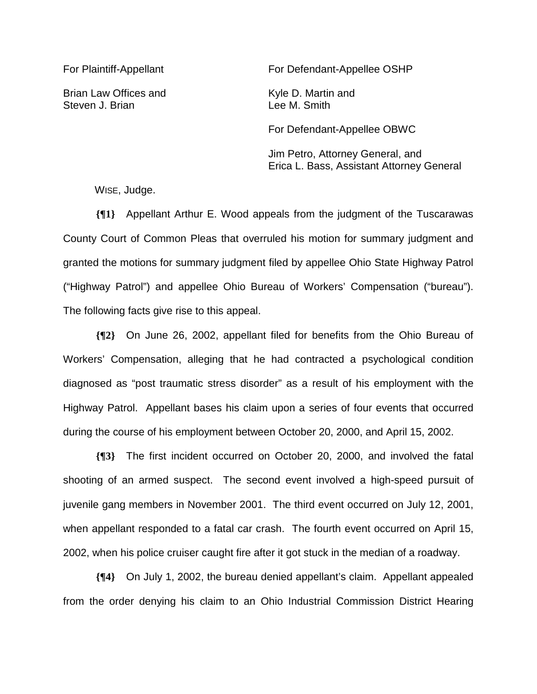Brian Law Offices and Kyle D. Martin and Steven J. Brian **Lee M. Smith** 

For Plaintiff-Appellant For Defendant-Appellee OSHP

For Defendant-Appellee OBWC

 Jim Petro, Attorney General, and Erica L. Bass, Assistant Attorney General

WISE, Judge.

**{¶1}** Appellant Arthur E. Wood appeals from the judgment of the Tuscarawas County Court of Common Pleas that overruled his motion for summary judgment and granted the motions for summary judgment filed by appellee Ohio State Highway Patrol ("Highway Patrol") and appellee Ohio Bureau of Workers' Compensation ("bureau"). The following facts give rise to this appeal.

**{¶2}** On June 26, 2002, appellant filed for benefits from the Ohio Bureau of Workers' Compensation, alleging that he had contracted a psychological condition diagnosed as "post traumatic stress disorder" as a result of his employment with the Highway Patrol. Appellant bases his claim upon a series of four events that occurred during the course of his employment between October 20, 2000, and April 15, 2002.

**{¶3}** The first incident occurred on October 20, 2000, and involved the fatal shooting of an armed suspect. The second event involved a high-speed pursuit of juvenile gang members in November 2001. The third event occurred on July 12, 2001, when appellant responded to a fatal car crash. The fourth event occurred on April 15, 2002, when his police cruiser caught fire after it got stuck in the median of a roadway.

**{¶4}** On July 1, 2002, the bureau denied appellant's claim. Appellant appealed from the order denying his claim to an Ohio Industrial Commission District Hearing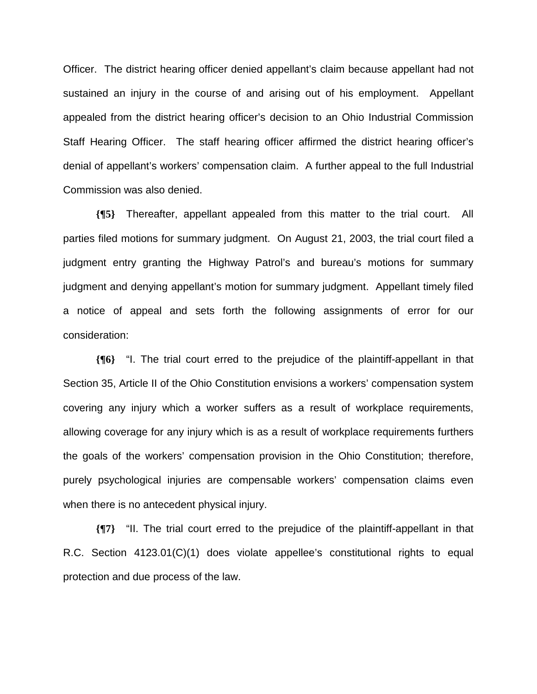Officer. The district hearing officer denied appellant's claim because appellant had not sustained an injury in the course of and arising out of his employment. Appellant appealed from the district hearing officer's decision to an Ohio Industrial Commission Staff Hearing Officer. The staff hearing officer affirmed the district hearing officer's denial of appellant's workers' compensation claim. A further appeal to the full Industrial Commission was also denied.

**{¶5}** Thereafter, appellant appealed from this matter to the trial court. All parties filed motions for summary judgment. On August 21, 2003, the trial court filed a judgment entry granting the Highway Patrol's and bureau's motions for summary judgment and denying appellant's motion for summary judgment. Appellant timely filed a notice of appeal and sets forth the following assignments of error for our consideration:

**{¶6}** "I. The trial court erred to the prejudice of the plaintiff-appellant in that Section 35, Article II of the Ohio Constitution envisions a workers' compensation system covering any injury which a worker suffers as a result of workplace requirements, allowing coverage for any injury which is as a result of workplace requirements furthers the goals of the workers' compensation provision in the Ohio Constitution; therefore, purely psychological injuries are compensable workers' compensation claims even when there is no antecedent physical injury.

**{¶7}** "II. The trial court erred to the prejudice of the plaintiff-appellant in that R.C. Section 4123.01(C)(1) does violate appellee's constitutional rights to equal protection and due process of the law.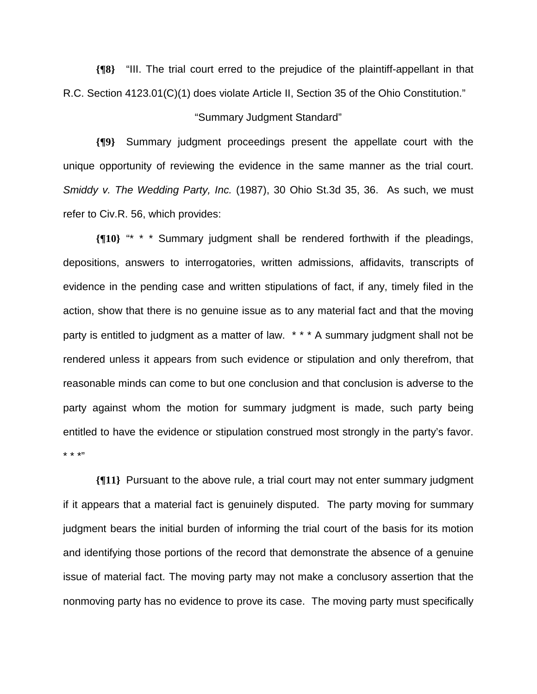**{¶8}** "III. The trial court erred to the prejudice of the plaintiff-appellant in that R.C. Section 4123.01(C)(1) does violate Article II, Section 35 of the Ohio Constitution."

## "Summary Judgment Standard"

**{¶9}** Summary judgment proceedings present the appellate court with the unique opportunity of reviewing the evidence in the same manner as the trial court. *Smiddy v. The Wedding Party, Inc.* (1987), 30 Ohio St.3d 35, 36. As such, we must refer to Civ.R. 56, which provides:

**{¶10}** "\* \* \* Summary judgment shall be rendered forthwith if the pleadings, depositions, answers to interrogatories, written admissions, affidavits, transcripts of evidence in the pending case and written stipulations of fact, if any, timely filed in the action, show that there is no genuine issue as to any material fact and that the moving party is entitled to judgment as a matter of law. \*\*\* A summary judgment shall not be rendered unless it appears from such evidence or stipulation and only therefrom, that reasonable minds can come to but one conclusion and that conclusion is adverse to the party against whom the motion for summary judgment is made, such party being entitled to have the evidence or stipulation construed most strongly in the party's favor. \* \* \*"

**{¶11}** Pursuant to the above rule, a trial court may not enter summary judgment if it appears that a material fact is genuinely disputed. The party moving for summary judgment bears the initial burden of informing the trial court of the basis for its motion and identifying those portions of the record that demonstrate the absence of a genuine issue of material fact. The moving party may not make a conclusory assertion that the nonmoving party has no evidence to prove its case. The moving party must specifically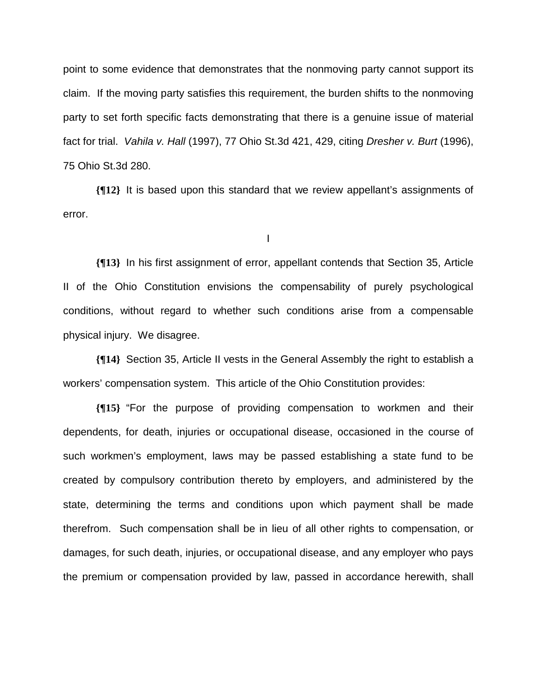point to some evidence that demonstrates that the nonmoving party cannot support its claim. If the moving party satisfies this requirement, the burden shifts to the nonmoving party to set forth specific facts demonstrating that there is a genuine issue of material fact for trial. *Vahila v. Hall* (1997), 77 Ohio St.3d 421, 429, citing *Dresher v. Burt* (1996), 75 Ohio St.3d 280.

**{¶12}** It is based upon this standard that we review appellant's assignments of error.

I

**{¶13}** In his first assignment of error, appellant contends that Section 35, Article II of the Ohio Constitution envisions the compensability of purely psychological conditions, without regard to whether such conditions arise from a compensable physical injury. We disagree.

**{¶14}** Section 35, Article II vests in the General Assembly the right to establish a workers' compensation system. This article of the Ohio Constitution provides:

**{¶15}** "For the purpose of providing compensation to workmen and their dependents, for death, injuries or occupational disease, occasioned in the course of such workmen's employment, laws may be passed establishing a state fund to be created by compulsory contribution thereto by employers, and administered by the state, determining the terms and conditions upon which payment shall be made therefrom. Such compensation shall be in lieu of all other rights to compensation, or damages, for such death, injuries, or occupational disease, and any employer who pays the premium or compensation provided by law, passed in accordance herewith, shall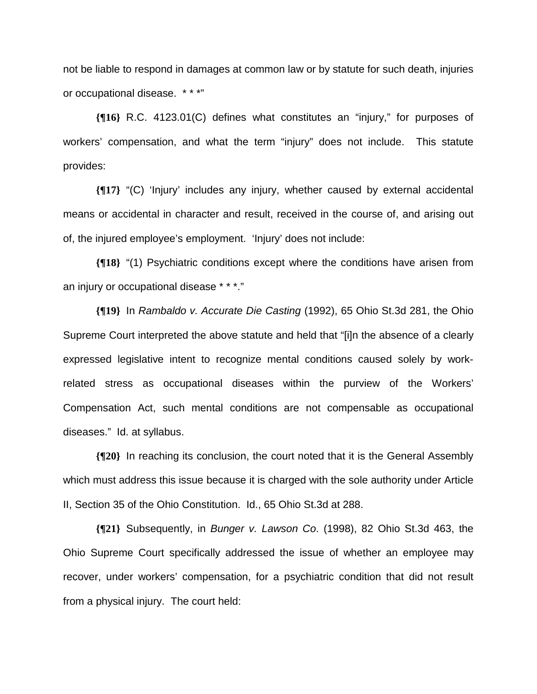not be liable to respond in damages at common law or by statute for such death, injuries or occupational disease. \* \* \*"

**{¶16}** R.C. 4123.01(C) defines what constitutes an "injury," for purposes of workers' compensation, and what the term "injury" does not include. This statute provides:

**{¶17}** "(C) 'Injury' includes any injury, whether caused by external accidental means or accidental in character and result, received in the course of, and arising out of, the injured employee's employment. 'Injury' does not include:

**{¶18}** "(1) Psychiatric conditions except where the conditions have arisen from an injury or occupational disease \* \* \*."

**{¶19}** In *Rambaldo v. Accurate Die Casting* (1992), 65 Ohio St.3d 281, the Ohio Supreme Court interpreted the above statute and held that "[i]n the absence of a clearly expressed legislative intent to recognize mental conditions caused solely by workrelated stress as occupational diseases within the purview of the Workers' Compensation Act, such mental conditions are not compensable as occupational diseases." Id. at syllabus.

**{¶20}** In reaching its conclusion, the court noted that it is the General Assembly which must address this issue because it is charged with the sole authority under Article II, Section 35 of the Ohio Constitution. Id., 65 Ohio St.3d at 288.

**{¶21}** Subsequently, in *Bunger v. Lawson Co*. (1998), 82 Ohio St.3d 463, the Ohio Supreme Court specifically addressed the issue of whether an employee may recover, under workers' compensation, for a psychiatric condition that did not result from a physical injury. The court held: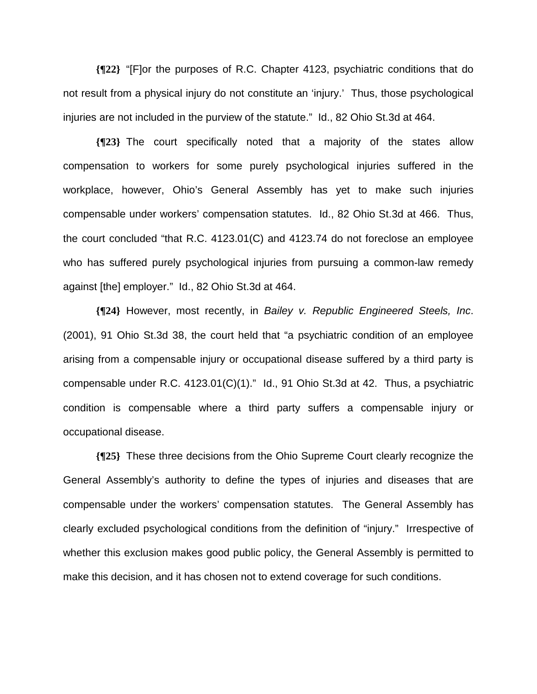**{¶22}** "[F]or the purposes of R.C. Chapter 4123, psychiatric conditions that do not result from a physical injury do not constitute an 'injury.' Thus, those psychological injuries are not included in the purview of the statute." Id., 82 Ohio St.3d at 464.

**{¶23}** The court specifically noted that a majority of the states allow compensation to workers for some purely psychological injuries suffered in the workplace, however, Ohio's General Assembly has yet to make such injuries compensable under workers' compensation statutes. Id., 82 Ohio St.3d at 466. Thus, the court concluded "that R.C. 4123.01(C) and 4123.74 do not foreclose an employee who has suffered purely psychological injuries from pursuing a common-law remedy against [the] employer." Id., 82 Ohio St.3d at 464.

**{¶24}** However, most recently, in *Bailey v. Republic Engineered Steels, Inc*. (2001), 91 Ohio St.3d 38, the court held that "a psychiatric condition of an employee arising from a compensable injury or occupational disease suffered by a third party is compensable under R.C. 4123.01(C)(1)." Id., 91 Ohio St.3d at 42. Thus, a psychiatric condition is compensable where a third party suffers a compensable injury or occupational disease.

**{¶25}** These three decisions from the Ohio Supreme Court clearly recognize the General Assembly's authority to define the types of injuries and diseases that are compensable under the workers' compensation statutes. The General Assembly has clearly excluded psychological conditions from the definition of "injury." Irrespective of whether this exclusion makes good public policy, the General Assembly is permitted to make this decision, and it has chosen not to extend coverage for such conditions.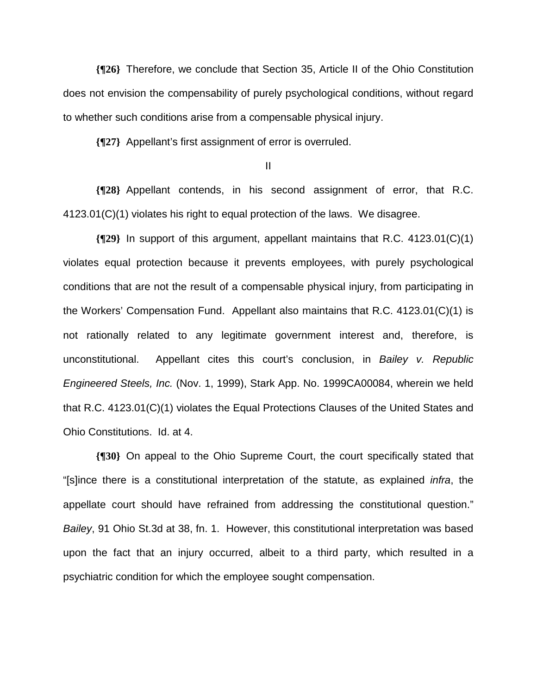**{¶26}** Therefore, we conclude that Section 35, Article II of the Ohio Constitution does not envision the compensability of purely psychological conditions, without regard to whether such conditions arise from a compensable physical injury.

**{¶27}** Appellant's first assignment of error is overruled.

II

**{¶28}** Appellant contends, in his second assignment of error, that R.C. 4123.01(C)(1) violates his right to equal protection of the laws. We disagree.

**{¶29}** In support of this argument, appellant maintains that R.C. 4123.01(C)(1) violates equal protection because it prevents employees, with purely psychological conditions that are not the result of a compensable physical injury, from participating in the Workers' Compensation Fund. Appellant also maintains that R.C. 4123.01(C)(1) is not rationally related to any legitimate government interest and, therefore, is unconstitutional. Appellant cites this court's conclusion, in *Bailey v. Republic Engineered Steels, Inc.* (Nov. 1, 1999), Stark App. No. 1999CA00084, wherein we held that R.C. 4123.01(C)(1) violates the Equal Protections Clauses of the United States and Ohio Constitutions. Id. at 4.

**{¶30}** On appeal to the Ohio Supreme Court, the court specifically stated that "[s]ince there is a constitutional interpretation of the statute, as explained *infra*, the appellate court should have refrained from addressing the constitutional question." *Bailey*, 91 Ohio St.3d at 38, fn. 1. However, this constitutional interpretation was based upon the fact that an injury occurred, albeit to a third party, which resulted in a psychiatric condition for which the employee sought compensation.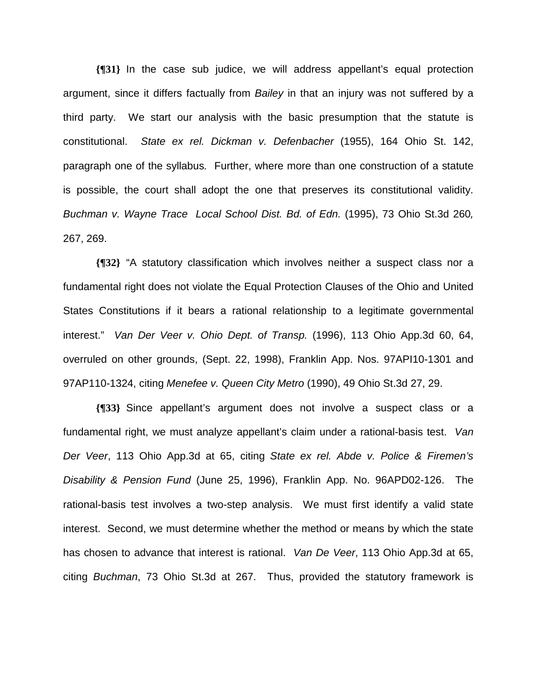**{¶31}** In the case sub judice, we will address appellant's equal protection argument, since it differs factually from *Bailey* in that an injury was not suffered by a third party. We start our analysis with the basic presumption that the statute is constitutional. *State ex rel. Dickman v. Defenbacher* (1955), 164 Ohio St. 142, paragraph one of the syllabus*.* Further, where more than one construction of a statute is possible, the court shall adopt the one that preserves its constitutional validity. *Buchman v. Wayne Trace Local School Dist. Bd. of Edn.* (1995), 73 Ohio St.3d 260*,*  267, 269.

**{¶32}** "A statutory classification which involves neither a suspect class nor a fundamental right does not violate the Equal Protection Clauses of the Ohio and United States Constitutions if it bears a rational relationship to a legitimate governmental interest." *Van Der Veer v. Ohio Dept. of Transp.* (1996), 113 Ohio App.3d 60, 64, overruled on other grounds, (Sept. 22, 1998), Franklin App. Nos. 97API10-1301 and 97AP110-1324, citing *Menefee v. Queen City Metro* (1990), 49 Ohio St.3d 27, 29.

**{¶33}** Since appellant's argument does not involve a suspect class or a fundamental right, we must analyze appellant's claim under a rational-basis test. *Van Der Veer*, 113 Ohio App.3d at 65, citing *State ex rel. Abde v. Police & Firemen's Disability & Pension Fund* (June 25, 1996), Franklin App. No. 96APD02-126. The rational-basis test involves a two-step analysis. We must first identify a valid state interest. Second, we must determine whether the method or means by which the state has chosen to advance that interest is rational. *Van De Veer*, 113 Ohio App.3d at 65, citing *Buchman*, 73 Ohio St.3d at 267. Thus, provided the statutory framework is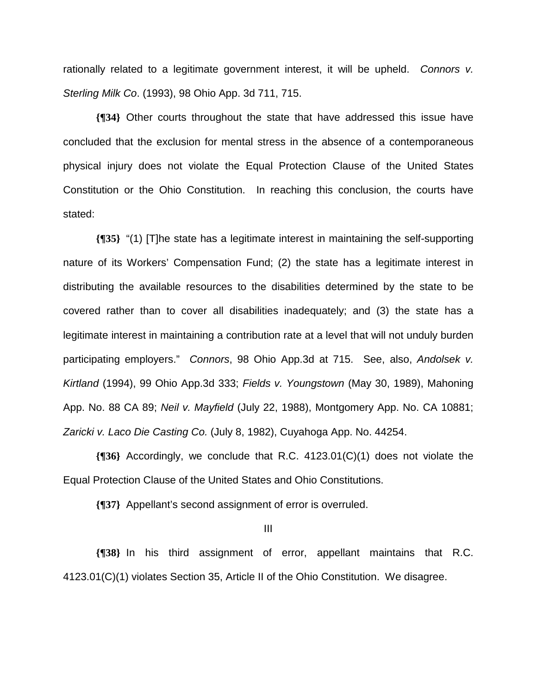rationally related to a legitimate government interest, it will be upheld. *Connors v. Sterling Milk Co*. (1993), 98 Ohio App. 3d 711, 715.

**{¶34}** Other courts throughout the state that have addressed this issue have concluded that the exclusion for mental stress in the absence of a contemporaneous physical injury does not violate the Equal Protection Clause of the United States Constitution or the Ohio Constitution. In reaching this conclusion, the courts have stated:

**{¶35}** "(1) [T]he state has a legitimate interest in maintaining the self-supporting nature of its Workers' Compensation Fund; (2) the state has a legitimate interest in distributing the available resources to the disabilities determined by the state to be covered rather than to cover all disabilities inadequately; and (3) the state has a legitimate interest in maintaining a contribution rate at a level that will not unduly burden participating employers." *Connors*, 98 Ohio App.3d at 715. See, also, *Andolsek v. Kirtland* (1994), 99 Ohio App.3d 333; *Fields v. Youngstown* (May 30, 1989), Mahoning App. No. 88 CA 89; *Neil v. Mayfield* (July 22, 1988), Montgomery App. No. CA 10881; *Zaricki v. Laco Die Casting Co.* (July 8, 1982), Cuyahoga App. No. 44254.

**{¶36}** Accordingly, we conclude that R.C. 4123.01(C)(1) does not violate the Equal Protection Clause of the United States and Ohio Constitutions.

**{¶37}** Appellant's second assignment of error is overruled.

III

**{¶38}** In his third assignment of error, appellant maintains that R.C. 4123.01(C)(1) violates Section 35, Article II of the Ohio Constitution. We disagree.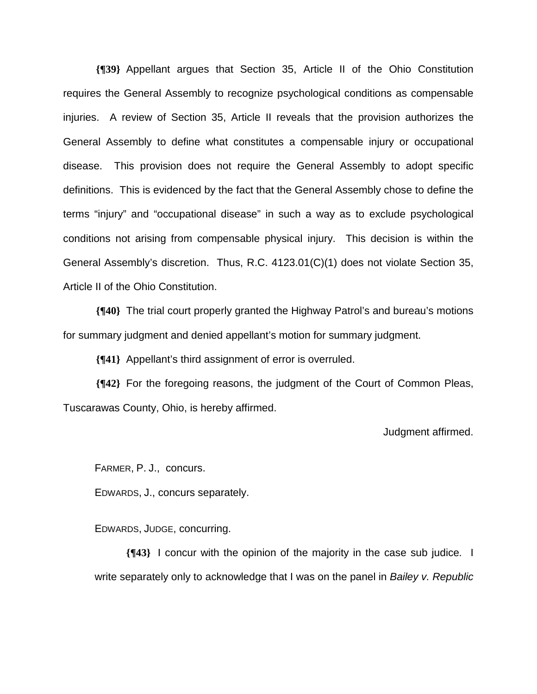**{¶39}** Appellant argues that Section 35, Article II of the Ohio Constitution requires the General Assembly to recognize psychological conditions as compensable injuries. A review of Section 35, Article II reveals that the provision authorizes the General Assembly to define what constitutes a compensable injury or occupational disease. This provision does not require the General Assembly to adopt specific definitions. This is evidenced by the fact that the General Assembly chose to define the terms "injury" and "occupational disease" in such a way as to exclude psychological conditions not arising from compensable physical injury. This decision is within the General Assembly's discretion. Thus, R.C. 4123.01(C)(1) does not violate Section 35, Article II of the Ohio Constitution.

**{¶40}** The trial court properly granted the Highway Patrol's and bureau's motions for summary judgment and denied appellant's motion for summary judgment.

**{¶41}** Appellant's third assignment of error is overruled.

**{¶42}** For the foregoing reasons, the judgment of the Court of Common Pleas, Tuscarawas County, Ohio, is hereby affirmed.

Judgment affirmed.

FARMER, P. J., concurs.

EDWARDS, J., concurs separately.

EDWARDS, JUDGE, concurring.

**{¶43}** I concur with the opinion of the majority in the case sub judice*.* I write separately only to acknowledge that I was on the panel in *Bailey v. Republic*